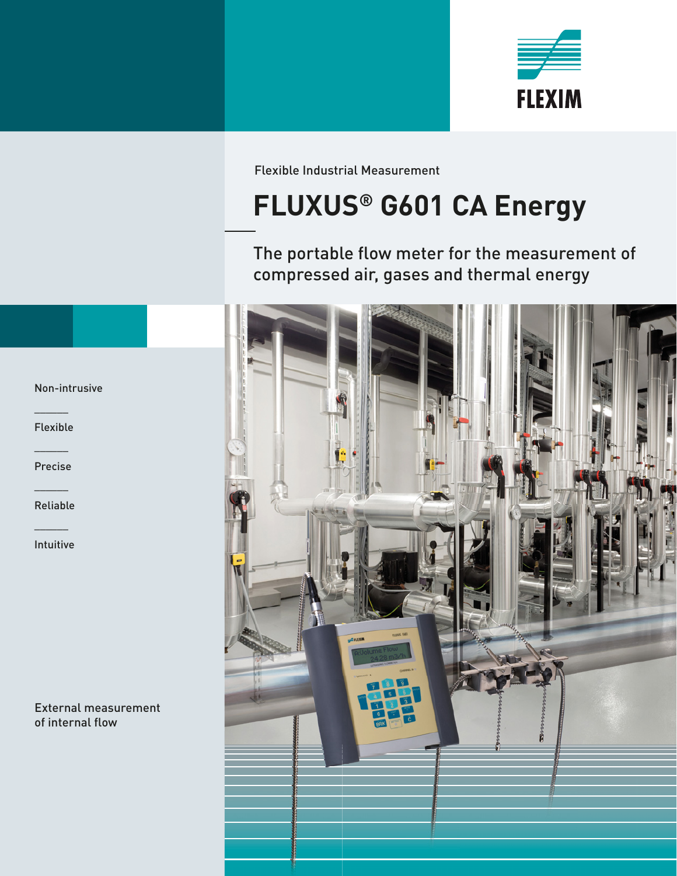

Flexible Industrial Measurement

# **FLUXUS® G601 CA Energy**

The portable flow meter for the measurement of compressed air, gases and thermal energy



Non-intrusive

 $\mathcal{L}$ Flexible

 $\mathcal{L}$ Precise

 $\overline{\phantom{a}}$ Reliable

 $\overline{\phantom{a}}$ Intuitive

External measurement of internal flow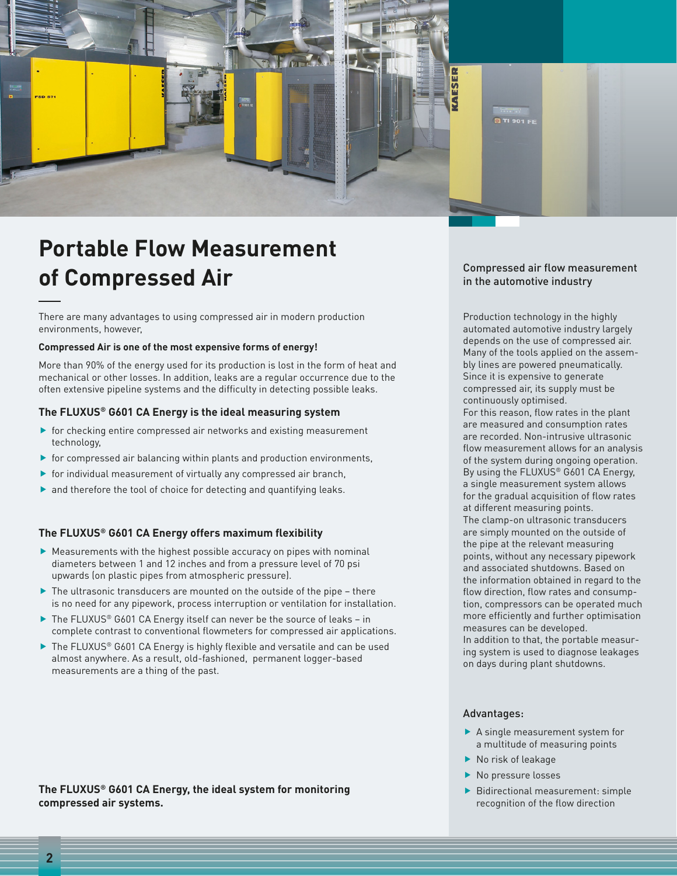

### **Portable Flow Measurement of Compressed Air**

There are many advantages to using compressed air in modern production environments, however,

#### **Compressed Air is one of the most expensive forms of energy!**

More than 90% of the energy used for its production is lost in the form of heat and mechanical or other losses. In addition, leaks are a regular occurrence due to the often extensive pipeline systems and the difficulty in detecting possible leaks.

#### **The FLUXUS® G601 CA Energy is the ideal measuring system**

- $\blacktriangleright$  for checking entire compressed air networks and existing measurement technology,
- $\blacktriangleright$  for compressed air balancing within plants and production environments,
- $\blacktriangleright$  for individual measurement of virtually any compressed air branch,
- $\blacktriangleright$  and therefore the tool of choice for detecting and quantifying leaks.

#### The FLUXUS<sup>®</sup> G601 CA Energy offers maximum flexibility

- $\blacktriangleright$  Measurements with the highest possible accuracy on pipes with nominal diameters between 1 and 12 inches and from a pressure level of 70 psi upwards (on plastic pipes from atmospheric pressure).
- $\blacktriangleright$  The ultrasonic transducers are mounted on the outside of the pipe there is no need for any pipework, process interruption or ventilation for installation.
- $\blacktriangleright$  The FLUXUS® G601 CA Energy itself can never be the source of leaks in complete contrast to conventional flowmeters for compressed air applications.
- $\blacktriangleright$  The FLUXUS® G601 CA Energy is highly flexible and versatile and can be used almost anywhere. As a result, old-fashioned, permanent logger-based measurements are a thing of the past.

**The FLUXUS® G601 CA Energy, the ideal system for monitoring compressed air systems.**

#### Compressed air flow measurement in the automotive industry

Production technology in the highly automated automotive industry largely depends on the use of compressed air. Many of the tools applied on the assembly lines are powered pneumatically. Since it is expensive to generate compressed air, its supply must be continuously optimised. For this reason, flow rates in the plant

are measured and consumption rates are recorded. Non-intrusive ultrasonic flow measurement allows for an analysis of the system during ongoing operation. By using the FLUXUS® G601 CA Energy, a single measurement system allows for the gradual acquisition of flow rates at different measuring points. The clamp-on ultrasonic transducers are simply mounted on the outside of the pipe at the relevant measuring points, without any necessary pipework and associated shutdowns. Based on the information obtained in regard to the flow direction, flow rates and consumption, compressors can be operated much more efficiently and further optimisation measures can be developed. In addition to that, the portable measur-

ing system is used to diagnose leakages on days during plant shutdowns.

#### Advantages:

- $\blacktriangleright$  A single measurement system for a multitude of measuring points
- $\blacktriangleright$  No risk of leakage
- $\blacktriangleright$  No pressure losses
- $\blacktriangleright$  Bidirectional measurement: simple recognition of the flow direction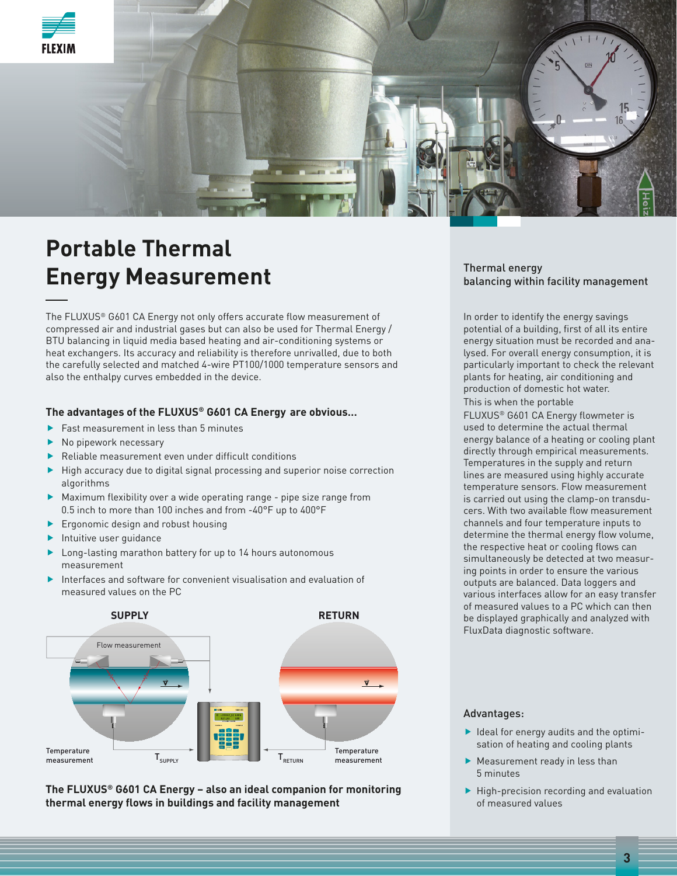

### **Portable Thermal Energy Measurement**

The FLUXUS® G601 CA Energy not only offers accurate flow measurement of compressed air and industrial gases but can also be used for Thermal Energy / BTU balancing in liquid media based heating and air-conditioning systems or heat exchangers. Its accuracy and reliability is therefore unrivalled, due to both the carefully selected and matched 4-wire PT100/1000 temperature sensors and also the enthalpy curves embedded in the device.

#### **The advantages of the FLUXUS® G601 CA Energy are obvious…**

- $\blacktriangleright$  Fast measurement in less than 5 minutes
- $\blacktriangleright$  No pipework necessary
- $\blacktriangleright$  Reliable measurement even under difficult conditions
- $\blacktriangleright$  High accuracy due to digital signal processing and superior noise correction algorithms
- $\blacktriangleright$  Maximum flexibility over a wide operating range pipe size range from 0.5 inch to more than 100 inches and from -40°F up to 400°F
- $\blacktriangleright$  Ergonomic design and robust housing
- $\blacktriangleright$  Intuitive user guidance
- $\blacktriangleright$  Long-lasting marathon battery for up to 14 hours autonomous measurement
- $\blacktriangleright$  Interfaces and software for convenient visualisation and evaluation of measured values on the PC



**The FLUXUS® G601 CA Energy – also an ideal companion for monitoring thermal energy fl ows in buildings and facility management**

#### Thermal energy balancing within facility management

In order to identify the energy savings potential of a building, first of all its entire energy situation must be recorded and analysed. For overall energy consumption, it is particularly important to check the relevant plants for heating, air conditioning and production of domestic hot water.

This is when the portable

FLUXUS® G601 CA Energy flowmeter is used to determine the actual thermal energy balance of a heating or cooling plant directly through empirical measurements. Temperatures in the supply and return lines are measured using highly accurate temperature sensors. Flow measurement is carried out using the clamp-on transducers. With two available flow measurement channels and four temperature inputs to determine the thermal energy flow volume, the respective heat or cooling flows can simultaneously be detected at two measuring points in order to ensure the various outputs are balanced. Data loggers and various interfaces allow for an easy transfer of measured values to a PC which can then be displayed graphically and analyzed with FluxData diagnostic software.

#### Advantages:

- $\blacktriangleright$  Ideal for energy audits and the optimisation of heating and cooling plants
- $\blacktriangleright$  Measurement ready in less than 5 minutes
- $\blacktriangleright$  High-precision recording and evaluation of measured values